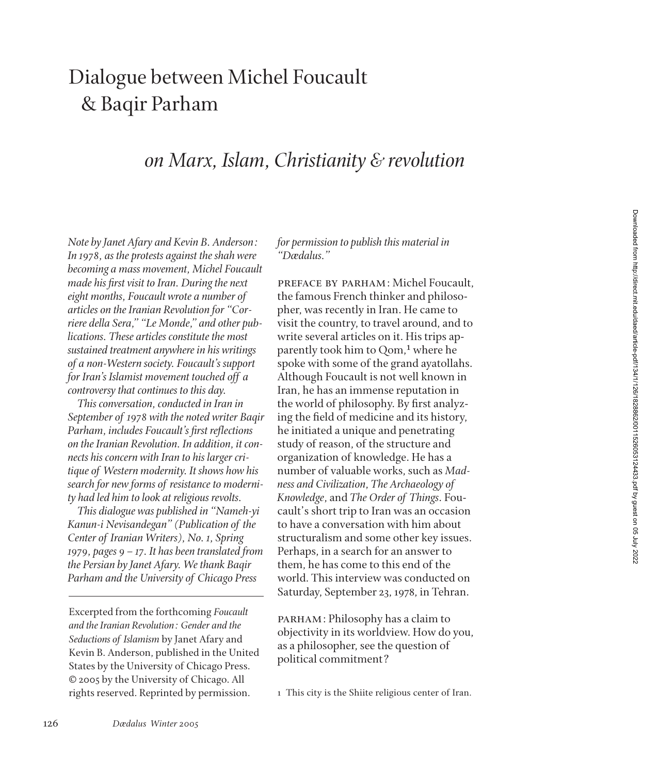## Dialogue between Michel Foucault & Baqir Parham

## *on Marx, Islam, Christianity & revolution*

*Note by Janet Afary and Kevin B. Anderson: In 1978, as the protests against the shah were becoming a mass movement, Michel Foucault made his first visit to Iran. During the next eight months, Foucault wrote a number of articles on the Iranian Revolution for "Corriere della Sera," "Le Monde," and other publications. These articles constitute the most sustained treatment anywhere in his writings of a non-Western society. Foucault's support for Iran's Islamist movement touched off a controversy that continues to this day.*

*This conversation, conducted in Iran in September of 1978 with the noted writer Baqir Parham, includes Foucault's first reflections on the Iranian Revolution. In addition, it connects his concern with Iran to his larger critique of Western modernity. It shows how his search for new forms of resistance to modernity had led him to look at religious revolts.*

*This dialogue was published in "Nameh-yi Kanun-i Nevisandegan" (Publication of the Center of Iranian Writers), No. 1, Spring 1979, pages 9–17. It has been translated from the Persian by Janet Afary. We thank Baqir Parham and the University of Chicago Press*

Excerpted from the forthcoming *Foucault and the Iranian Revolution: Gender and the Seductions of Islamism* by Janet Afary and Kevin B. Anderson, published in the United States by the University of Chicago Press. © 2005 by the University of Chicago. All rights reserved. Reprinted by permission.  $\qquad 1$  This city is the Shiite religious center of Iran.

*for permission to publish this material in "Dædalus."*

preface by parham: Michel Foucault, the famous French thinker and philosopher, was recently in Iran. He came to visit the country, to travel around, and to write several articles on it. His trips apparently took him to Qom,<sup>1</sup> where he spoke with some of the grand ayatollahs. Although Foucault is not well known in Iran, he has an immense reputation in the world of philosophy. By first analyzing the field of medicine and its history, he initiated a unique and penetrating study of reason, of the structure and organization of knowledge. He has a number of valuable works, such as *Madness and Civilization*, *The Archaeology of Knowledge*, and *The Order of Things*. Foucault's short trip to Iran was an occasion to have a conversation with him about structuralism and some other key issues. Perhaps, in a search for an answer to them, he has come to this end of the world. This interview was conducted on Saturday, September 23, 1978, in Tehran.

parham: Philosophy has a claim to objectivity in its worldview. How do you, as a philosopher, see the question of political commitment?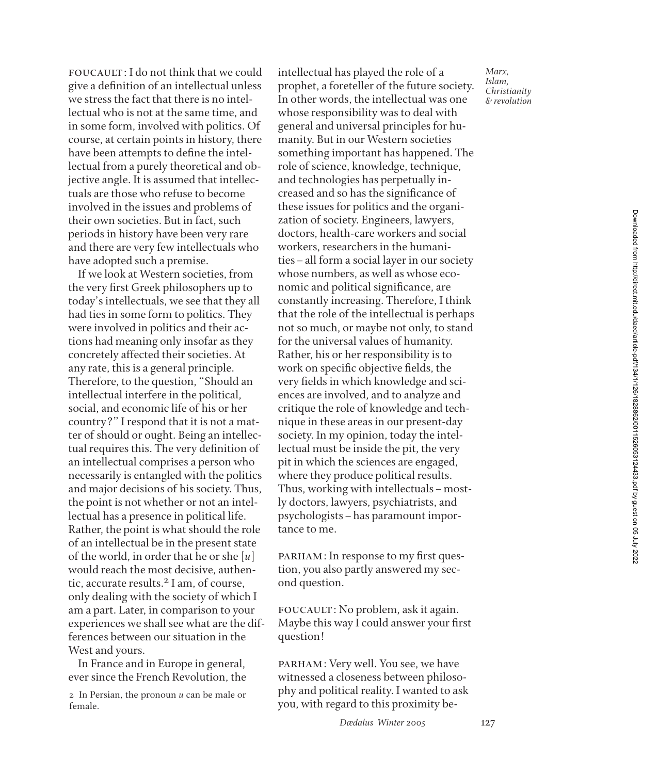foucault: I do not think that we could give a definition of an intellectual unless we stress the fact that there is no intellectual who is not at the same time, and in some form, involved with politics. Of course, at certain points in history, there have been attempts to define the intellectual from a purely theoretical and objective angle. It is assumed that intellectuals are those who refuse to become involved in the issues and problems of their own societies. But in fact, such periods in history have been very rare and there are very few intellectuals who have adopted such a premise.

If we look at Western societies, from the very first Greek philosophers up to today's intellectuals, we see that they all had ties in some form to politics. They were involved in politics and their actions had meaning only insofar as they concretely affected their societies. At any rate, this is a general principle. Therefore, to the question, "Should an intellectual interfere in the political, social, and economic life of his or her country?" I respond that it is not a matter of should or ought. Being an intellectual requires this. The very definition of an intellectual comprises a person who necessarily is entangled with the politics and major decisions of his society. Thus, the point is not whether or not an intellectual has a presence in political life. Rather, the point is what should the role of an intellectual be in the present state of the world, in order that he or she [ *u* ] would reach the most decisive, authentic, accurate results.2 I am, of course, only dealing with the society of which I am a part. Later, in comparison to your experiences we shall see what are the differences between our situation in the West and yours.

In France and in Europe in general, ever since the French Revolution, the

2 In Persian, the pronoun *u* can be male or female.

intellectual has played the role of a prophet, a foreteller of the future society. In other words, the intellectual was one whose responsibility was to deal with general and universal principles for humanity. But in our Western societies something important has happened. The role of science, knowledge, technique, and technologies has perpetually increased and so has the significance of these issues for politics and the organization of society. Engineers, lawyers, doctors, health-care workers and social workers, researchers in the humanities–all form a social layer in our society whose numbers, as well as whose economic and political significance, are constantly increasing. Therefore, I think that the role of the intellectual is perhaps not so much, or maybe not only, to stand for the universal values of humanity. Rather, his or her responsibility is to work on specific objective fields, the very fields in which knowledge and sciences are involved, and to analyze and critique the role of knowledge and technique in these areas in our present-day society. In my opinion, today the intellectual must be inside the pit, the very pit in which the sciences are engaged, where they produce political results. Thus, working with intellectuals–mostly doctors, lawyers, psychiatrists, and psychologists–has paramount importance to me.

PARHAM: In response to my first question, you also partly answered my second question.

FOUCAULT: No problem, ask it again. Maybe this way I could answer your first question!

parham: Very well. You see, we have witnessed a closeness between philosophy and political reality. I wanted to ask you, with regard to this proximity be*Marx, Islam, Christianity & revolution*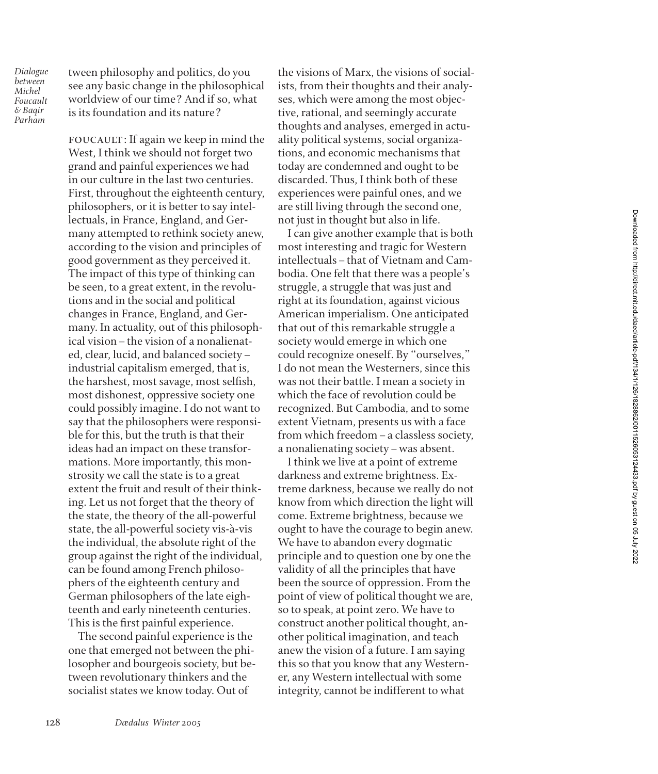*Dialogue between Michel Foucault & Baqir Parham*

tween philosophy and politics, do you see any basic change in the philosophical worldview of our time? And if so, what is its foundation and its nature?

foucault: If again we keep in mind the West, I think we should not forget two grand and painful experiences we had in our culture in the last two centuries. First, throughout the eighteenth century, philosophers, or it is better to say intellectuals, in France, England, and Germany attempted to rethink society anew, according to the vision and principles of good government as they perceived it. The impact of this type of thinking can be seen, to a great extent, in the revolutions and in the social and political changes in France, England, and Germany. In actuality, out of this philosophical vision–the vision of a nonalienated, clear, lucid, and balanced society– industrial capitalism emerged, that is, the harshest, most savage, most selfish, most dishonest, oppressive society one could possibly imagine. I do not want to say that the philosophers were responsible for this, but the truth is that their ideas had an impact on these transformations. More importantly, this monstrosity we call the state is to a great extent the fruit and result of their thinking. Let us not forget that the theory of the state, the theory of the all-powerful state, the all-powerful society vis-à-vis the individual, the absolute right of the group against the right of the individual, can be found among French philosophers of the eighteenth century and German philosophers of the late eighteenth and early nineteenth centuries. This is the first painful experience.

The second painful experience is the one that emerged not between the philosopher and bourgeois society, but between revolutionary thinkers and the socialist states we know today. Out of

the visions of Marx, the visions of socialists, from their thoughts and their analyses, which were among the most objective, rational, and seemingly accurate thoughts and analyses, emerged in actuality political systems, social organizations, and economic mechanisms that today are condemned and ought to be discarded. Thus, I think both of these experiences were painful ones, and we are still living through the second one, not just in thought but also in life.

I can give another example that is both most interesting and tragic for Western intellectuals–that of Vietnam and Cambodia. One felt that there was a people's struggle, a struggle that was just and right at its foundation, against vicious American imperialism. One anticipated that out of this remarkable struggle a society would emerge in which one could recognize oneself. By "ourselves," I do not mean the Westerners, since this was not their battle. I mean a society in which the face of revolution could be recognized. But Cambodia, and to some extent Vietnam, presents us with a face from which freedom–a classless society, a nonalienating society–was absent.

I think we live at a point of extreme darkness and extreme brightness. Extreme darkness, because we really do not know from which direction the light will come. Extreme brightness, because we ought to have the courage to begin anew. We have to abandon every dogmatic principle and to question one by one the validity of all the principles that have been the source of oppression. From the point of view of political thought we are, so to speak, at point zero. We have to construct another political thought, another political imagination, and teach anew the vision of a future. I am saying this so that you know that any Westerner, any Western intellectual with some integrity, cannot be indifferent to what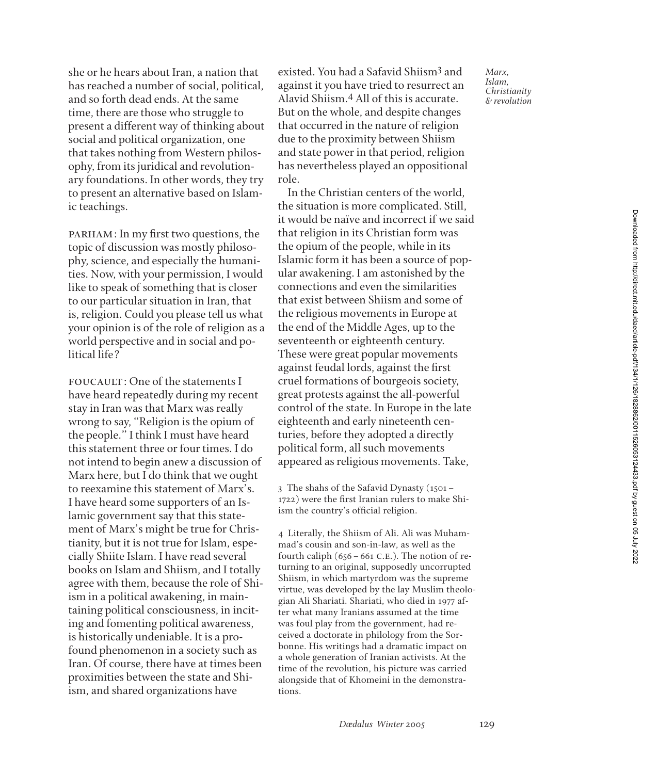she or he hears about Iran, a nation that has reached a number of social, political, and so forth dead ends. At the same time, there are those who struggle to present a different way of thinking about social and political organization, one that takes nothing from Western philosophy, from its juridical and revolutionary foundations. In other words, they try to present an alternative based on Islamic teachings.

PARHAM: In my first two questions, the topic of discussion was mostly philosophy, science, and especially the humanities. Now, with your permission, I would like to speak of something that is closer to our particular situation in Iran, that is, religion. Could you please tell us what your opinion is of the role of religion as a world perspective and in social and political life?

FOUCAULT: One of the statements I have heard repeatedly during my recent stay in Iran was that Marx was really wrong to say, "Religion is the opium of the people." I think I must have heard this statement three or four times. I do not intend to begin anew a discussion of Marx here, but I do think that we ought to reexamine this statement of Marx's. I have heard some supporters of an Islamic government say that this statement of Marx's might be true for Christianity, but it is not true for Islam, especially Shiite Islam. I have read several books on Islam and Shiism, and I totally agree with them, because the role of Shiism in a political awakening, in maintaining political consciousness, in inciting and fomenting political awareness, is historically undeniable. It is a profound phenomenon in a society such as Iran. Of course, there have at times been proximities between the state and Shiism, and shared organizations have

existed. You had a Safavid Shiism 3 and against it you have tried to resurrect an Alavid Shiism. 4 All of this is accurate. But on the whole, and despite changes that occurred in the nature of religion due to the proximity between Shiism and state power in that period, religion has nevertheless played an oppositional role.

In the Christian centers of the world, the situation is more complicated. Still, it would be naïve and incorrect if we said that religion in its Christian form was the opium of the people, while in its Islamic form it has been a source of popular awakening. I am astonished by the connections and even the similarities that exist between Shiism and some of the religious movements in Europe at the end of the Middle Ages, up to the seventeenth or eighteenth century. These were great popular movements against feudal lords, against the first cruel formations of bourgeois society, great protests against the all-powerful control of the state. In Europe in the late eighteenth and early nineteenth centuries, before they adopted a directly political form, all such movements appeared as religious movements. Take,

3 The shahs of the Safavid Dynasty (1501– 1722) were the first Iranian rulers to make Shiism the country's official religion.

4 Literally, the Shiism of Ali. Ali was Muhammad's cousin and son-in-law, as well as the fourth caliph  $(656 - 661$  C.E.). The notion of returning to an original, supposedly uncorrupted Shiism, in which martyrdom was the supreme virtue, was developed by the lay Muslim theologian Ali Shariati. Shariati, who died in 1977 after what many Iranians assumed at the time was foul play from the government, had received a doctorate in philology from the Sorbonne. His writings had a dramatic impact on a whole generation of Iranian activists. At the time of the revolution, his picture was carried alongside that of Khomeini in the demonstrations.

*Marx, Islam, Christianity & revolution*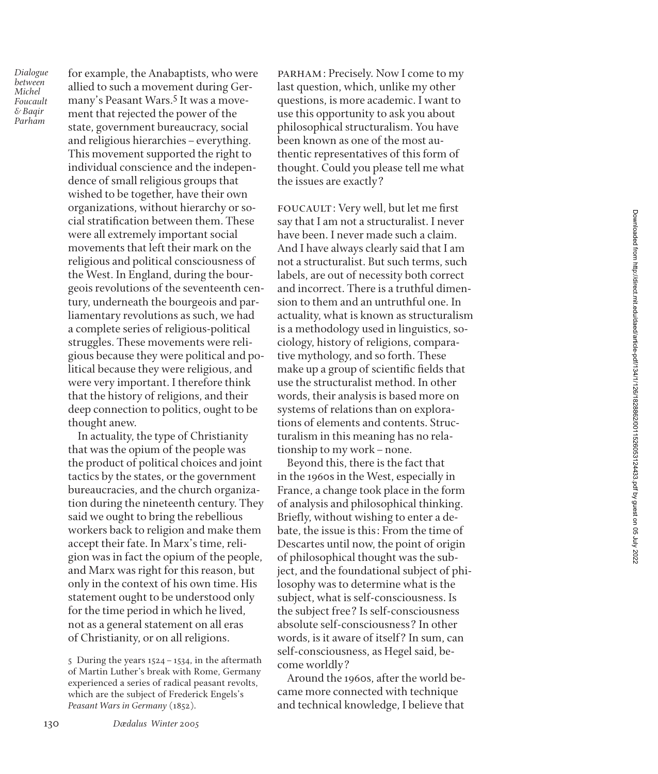*Dialogue between Michel Foucault & Baqir Parham*

for example, the Anabaptists, who were allied to such a movement during Germany's Peasant Wars.<sup>5</sup> It was a movement that rejected the power of the state, government bureaucracy, social and religious hierarchies–everything. This movement supported the right to individual conscience and the independence of small religious groups that wished to be together, have their own organizations, without hierarchy or social stratification between them. These were all extremely important social movements that left their mark on the religious and political consciousness of the West. In England, during the bourgeois revolutions of the seventeenth century, underneath the bourgeois and parliamentary revolutions as such, we had a complete series of religious-political struggles. These movements were religious because they were political and political because they were religious, and were very important. I therefore think that the history of religions, and their deep connection to politics, ought to be thought anew.

In actuality, the type of Christianity that was the opium of the people was the product of political choices and joint tactics by the states, or the government bureaucracies, and the church organization during the nineteenth century. They said we ought to bring the rebellious workers back to religion and make them accept their fate. In Marx's time, religion was in fact the opium of the people, and Marx was right for this reason, but only in the context of his own time. His statement ought to be understood only for the time period in which he lived, not as a general statement on all eras of Christianity, or on all religions.

5 During the years 1524–1534, in the aftermath of Martin Luther's break with Rome, Germany experienced a series of radical peasant revolts, which are the subject of Frederick Engels's *Peasant Wars in Germany* (1852).

parham: Precisely. Now I come to my last question, which, unlike my other questions, is more academic. I want to use this opportunity to ask you about philosophical structuralism. You have been known as one of the most authentic representatives of this form of thought. Could you please tell me what the issues are exactly?

FOUCAULT: Very well, but let me first say that I am not a structuralist. I never have been. I never made such a claim. And I have always clearly said that I am not a structuralist. But such terms, such labels, are out of necessity both correct and incorrect. There is a truthful dimension to them and an untruthful one. In actuality, what is known as structuralism is a methodology used in linguistics, sociology, history of religions, comparative mythology, and so forth. These make up a group of scientific fields that use the structuralist method. In other words, their analysis is based more on systems of relations than on explorations of elements and contents. Structuralism in this meaning has no relationship to my work–none.

Beyond this, there is the fact that in the 1960s in the West, especially in France, a change took place in the form of analysis and philosophical thinking. Briefly, without wishing to enter a debate, the issue is this: From the time of Descartes until now, the point of origin of philosophical thought was the subject, and the foundational subject of philosophy was to determine what is the subject, what is self-consciousness. Is the subject free? Is self-consciousness absolute self-consciousness? In other words, is it aware of itself? In sum, can self-consciousness, as Hegel said, become worldly?

Around the 1960s, after the world became more connected with technique and technical knowledge, I believe that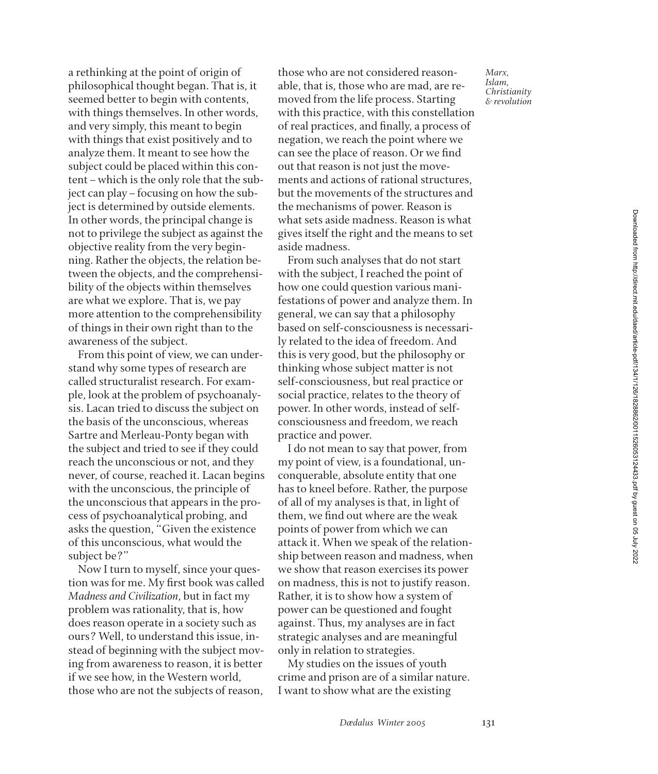a rethinking at the point of origin of philosophical thought began. That is, it seemed better to begin with contents, with things themselves. In other words, and very simply, this meant to begin with things that exist positively and to analyze them. It meant to see how the subject could be placed within this content–which is the only role that the subject can play–focusing on how the subject is determined by outside elements. In other words, the principal change is not to privilege the subject as against the objective reality from the very beginning. Rather the objects, the relation between the objects, and the comprehensibility of the objects within themselves are what we explore. That is, we pay more attention to the comprehensibility of things in their own right than to the awareness of the subject.

From this point of view, we can understand why some types of research are called structuralist research. For example, look at the problem of psychoanalysis. Lacan tried to discuss the subject on the basis of the unconscious, whereas Sartre and Merleau-Ponty began with the subject and tried to see if they could reach the unconscious or not, and they never, of course, reached it. Lacan begins with the unconscious, the principle of the unconscious that appears in the process of psychoanalytical probing, and asks the question, "Given the existence of this unconscious, what would the subject be?"

Now I turn to myself, since your question was for me. My first book was called *Madness and Civilization*, but in fact my problem was rationality, that is, how does reason operate in a society such as ours? Well, to understand this issue, instead of beginning with the subject moving from awareness to reason, it is better if we see how, in the Western world, those who are not the subjects of reason,

those who are not considered reasonable, that is, those who are mad, are removed from the life process. Starting with this practice, with this constellation of real practices, and finally, a process of negation, we reach the point where we can see the place of reason. Or we find out that reason is not just the movements and actions of rational structures, but the movements of the structures and the mechanisms of power. Reason is what sets aside madness. Reason is what gives itself the right and the means to set aside madness.

From such analyses that do not start with the subject, I reached the point of how one could question various manifestations of power and analyze them. In general, we can say that a philosophy based on self-consciousness is necessarily related to the idea of freedom. And this is very good, but the philosophy or thinking whose subject matter is not self-consciousness, but real practice or social practice, relates to the theory of power. In other words, instead of selfconsciousness and freedom, we reach practice and power.

I do not mean to say that power, from my point of view, is a foundational, unconquerable, absolute entity that one has to kneel before. Rather, the purpose of all of my analyses is that, in light of them, we find out where are the weak points of power from which we can attack it. When we speak of the relationship between reason and madness, when we show that reason exercises its power on madness, this is not to justify reason. Rather, it is to show how a system of power can be questioned and fought against. Thus, my analyses are in fact strategic analyses and are meaningful only in relation to strategies.

My studies on the issues of youth crime and prison are of a similar nature. I want to show what are the existing

*Marx, Islam, Christianity & revolution*